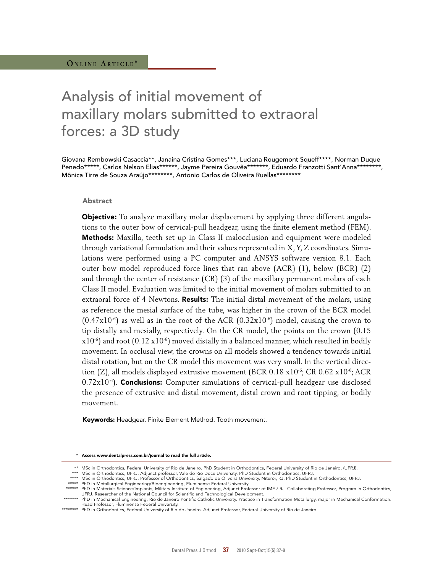# Analysis of initial movement of maxillary molars submitted to extraoral forces: a 3D study

Giovana Rembowski Casaccia\*\*, Janaína Cristina Gomes\*\*\*, Luciana Rougemont Squeff\*\*\*\*, Norman Duque Penedo\*\*\*\*\*, Carlos Nelson Elias\*\*\*\*\*\*, Jayme Pereira Gouvêa\*\*\*\*\*\*\*, Eduardo Franzotti Sant'Anna\*\*\*\*\*\*\*\*, Mônica Tirre de Souza Araújo\*\*\*\*\*\*\*\*, Antonio Carlos de Oliveira Ruellas\*\*\*\*\*\*\*\*

#### Abstract

**Objective:** To analyze maxillary molar displacement by applying three different angulations to the outer bow of cervical-pull headgear, using the finite element method (FEM). Methods: Maxilla, teeth set up in Class II malocclusion and equipment were modeled through variational formulation and their values represented in X, Y, Z coordinates. Simulations were performed using a PC computer and ANSYS software version 8.1. Each outer bow model reproduced force lines that ran above (ACR) (1), below (BCR) (2) and through the center of resistance (CR) (3) of the maxillary permanent molars of each Class II model. Evaluation was limited to the initial movement of molars submitted to an extraoral force of 4 Newtons. **Results:** The initial distal movement of the molars, using as reference the mesial surface of the tube, was higher in the crown of the BCR model  $(0.47 \times 10^{-6})$  as well as in the root of the ACR  $(0.32 \times 10^{-6})$  model, causing the crown to tip distally and mesially, respectively. On the CR model, the points on the crown (0.15  $x10^{-6}$ ) and root (0.12  $x10^{-6}$ ) moved distally in a balanced manner, which resulted in bodily movement. In occlusal view, the crowns on all models showed a tendency towards initial distal rotation, but on the CR model this movement was very small. In the vertical direction (Z), all models displayed extrusive movement (BCR 0.18  $x10^{-6}$ ; CR 0.62  $x10^{-6}$ ; ACR  $0.72x10^{-6}$ . **Conclusions:** Computer simulations of cervical-pull headgear use disclosed the presence of extrusive and distal movement, distal crown and root tipping, or bodily movement.

Keywords: Headgear. Finite Element Method. Tooth movement.

<sup>\*</sup> Access www.dentalpress.com.br/journal to read the full article.

<sup>\*\*</sup> MSc in Orthodontics, Federal University of Rio de Janeiro. PhD Student in Orthodontics, Federal University of Rio de Janeiro, (UFRJ).

<sup>\*\*\*</sup> MSc in Orthodontics, UFRJ. Adjunct professor, Vale do Rio Doce University. PhD Student in Orthodontics, UFRJ.

<sup>\*\*\*\*</sup> MSc in Orthodontics, UFRJ. Professor of Orthodontics, Salgado de Oliveira University, Niterói, RJ. PhD Student in Orthodontics, UFRJ. \*\*\*\*\* PhD in Metallurgical Engineering/Bioengineering, Fluminense Federal University.

<sup>\*\*\*\*\*\*</sup> PhD in Materials Science/Implants, Military Institute of Engineering, Adjunct Professor of IME / RJ. Collaborating Professor, Program in Orthodontics, UFRJ. Researcher of the National Council for Scientific and Technological Development. \*\*\*\*\*\*\* PhD in Mechanical Engineering, Rio de Janeiro Pontific Catholic University. Practice in Transformation Metallurgy, major in Mechanical Conformation.

Head Professor, Fluminense Federal University. \*\*\*\*\*\*\*\* PhD in Orthodontics, Federal University of Rio de Janeiro. Adjunct Professor, Federal University of Rio de Janeiro.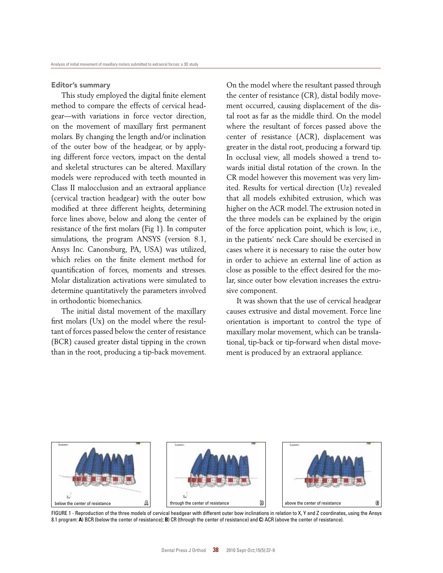### Editor's summary

This study employed the digital finite element method to compare the effects of cervical headgear—with variations in force vector direction, on the movement of maxillary first permanent molars. By changing the length and/or inclination of the outer bow of the headgear, or by applying different force vectors, impact on the dental and skeletal structures can be altered. Maxillary models were reproduced with teeth mounted in Class II malocclusion and an extraoral appliance (cervical traction headgear) with the outer bow modified at three different heights, determining force lines above, below and along the center of resistance of the first molars (Fig 1). In computer simulations, the program ANSYS (version 8.1, Ansys Inc. Canonsburg, PA, USA) was utilized, which relies on the finite element method for quantification of forces, moments and stresses. Molar distalization activations were simulated to determine quantitatively the parameters involved in orthodontic biomechanics.

The initial distal movement of the maxillary first molars (Ux) on the model where the resultant of forces passed below the center of resistance (BCR) caused greater distal tipping in the crown than in the root, producing a tip-back movement. On the model where the resultant passed through the center of resistance (CR), distal bodily movement occurred, causing displacement of the distal root as far as the middle third. On the model where the resultant of forces passed above the center of resistance (ACR), displacement was greater in the distal root, producing a forward tip. In occlusal view, all models showed a trend towards initial distal rotation of the crown. In the CR model however this movement was very limited. Results for vertical direction (Uz) revealed that all models exhibited extrusion, which was higher on the ACR model. The extrusion noted in the three models can be explained by the origin of the force application point, which is low, i.e., in the patients' neck Care should be exercised in cases where it is necessary to raise the outer bow in order to achieve an external line of action as close as possible to the effect desired for the molar, since outer bow elevation increases the extrusive component.

It was shown that the use of cervical headgear causes extrusive and distal movement. Force line orientation is important to control the type of maxillary molar movement, which can be translational, tip-back or tip-forward when distal movement is produced by an extraoral appliance.



FIGURE 1 - Reproduction of the three models of cervical headgear with different outer bow inclinations in relation to X, Y and Z coordinates, using the Ansys 8.1 program: **A**) BCR (below the center of resistance); **B**) CR (through the center of resistance) and **C**) ACR (above the center of resistance).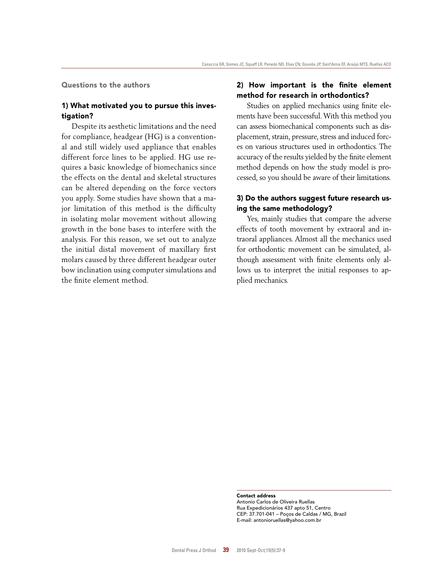Questions to the authors

## 1) What motivated you to pursue this investigation?

Despite its aesthetic limitations and the need for compliance, headgear (HG) is a conventional and still widely used appliance that enables different force lines to be applied. HG use requires a basic knowledge of biomechanics since the effects on the dental and skeletal structures can be altered depending on the force vectors you apply. Some studies have shown that a major limitation of this method is the difficulty in isolating molar movement without allowing growth in the bone bases to interfere with the analysis. For this reason, we set out to analyze the initial distal movement of maxillary first molars caused by three different headgear outer bow inclination using computer simulations and the finite element method.

# 2) How important is the finite element method for research in orthodontics?

Studies on applied mechanics using finite elements have been successful. With this method you can assess biomechanical components such as displacement, strain, pressure, stress and induced forces on various structures used in orthodontics. The accuracy of the results yielded by the finite element method depends on how the study model is processed, so you should be aware of their limitations.

# 3) Do the authors suggest future research using the same methodology?

Yes, mainly studies that compare the adverse effects of tooth movement by extraoral and intraoral appliances. Almost all the mechanics used for orthodontic movement can be simulated, although assessment with finite elements only allows us to interpret the initial responses to applied mechanics.

Contact address

Antonio Carlos de Oliveira Ruellas Rua Expedicionários 437 apto 51, Centro CEP: 37.701-041 – Poços de Caldas / MG, Brazil E-mail: antonioruellas@yahoo.com.br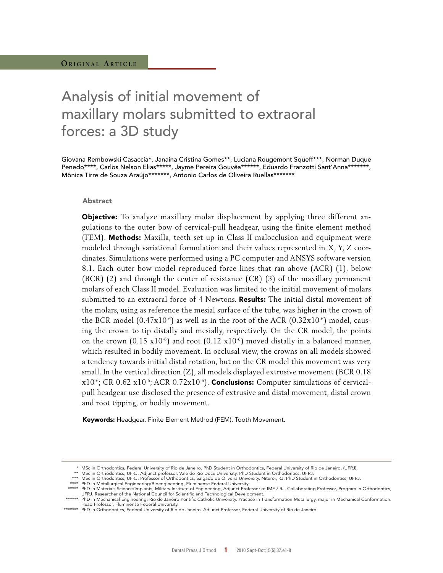# Analysis of initial movement of maxillary molars submitted to extraoral forces: a 3D study

Giovana Rembowski Casaccia\*, Janaína Cristina Gomes\*\*, Luciana Rougemont Squeff\*\*\*, Norman Duque Penedo\*\*\*\*, Carlos Nelson Elias\*\*\*\*\*, Jayme Pereira Gouvêa\*\*\*\*\*\*, Eduardo Franzotti Sant'Anna\*\*\*\*\*\*\*, Mônica Tirre de Souza Araújo\*\*\*\*\*\*\*, Antonio Carlos de Oliveira Ruellas\*\*\*\*\*\*\*

#### Abstract

**Objective:** To analyze maxillary molar displacement by applying three different angulations to the outer bow of cervical-pull headgear, using the finite element method (FEM). Methods: Maxilla, teeth set up in Class II malocclusion and equipment were modeled through variational formulation and their values represented in X, Y, Z coordinates. Simulations were performed using a PC computer and ANSYS software version 8.1. Each outer bow model reproduced force lines that ran above (ACR) (1), below (BCR) (2) and through the center of resistance (CR) (3) of the maxillary permanent molars of each Class II model. Evaluation was limited to the initial movement of molars submitted to an extraoral force of 4 Newtons. **Results:** The initial distal movement of the molars, using as reference the mesial surface of the tube, was higher in the crown of the BCR model  $(0.47 \times 10^{-6})$  as well as in the root of the ACR  $(0.32 \times 10^{-6})$  model, causing the crown to tip distally and mesially, respectively. On the CR model, the points on the crown  $(0.15 \times 10^{-6})$  and root  $(0.12 \times 10^{-6})$  moved distally in a balanced manner, which resulted in bodily movement. In occlusal view, the crowns on all models showed a tendency towards initial distal rotation, but on the CR model this movement was very small. In the vertical direction (Z), all models displayed extrusive movement (BCR 0.18  $x10^{-6}$ ; CR 0.62  $x10^{-6}$ ; ACR 0.72 $x10^{-6}$ ). **Conclusions:** Computer simulations of cervicalpull headgear use disclosed the presence of extrusive and distal movement, distal crown and root tipping, or bodily movement.

Keywords: Headgear. Finite Element Method (FEM). Tooth Movement.

<sup>\*</sup> MSc in Orthodontics, Federal University of Rio de Janeiro. PhD Student in Orthodontics, Federal University of Rio de Janeiro, (UFRJ).

<sup>\*\*</sup> MSc in Orthodontics, UFRJ. Adjunct professor, Vale do Rio Doce University. PhD Student in Orthodontics, UFRJ.

<sup>\*\*\*</sup> MSc in Orthodontics, UFRJ. Professor of Orthodontics, Salgado de Oliveira University, Niterói, RJ. PhD Student in Orthodontics, UFRJ. \*\*\*\* PhD in Metallurgical Engineering/Bioengineering, Fluminense Federal University.

<sup>\*\*\*\*\*</sup> PhD in Materials Science/Implants, Military Institute of Engineering, Adjunct Professor of IME / RJ. Collaborating Professor, Program in Orthodontics, UFRJ. Researcher of the National Council for Scientific and Technological Development. \*\*\*\*\*\* PhD in Mechanical Engineering, Rio de Janeiro Pontific Catholic University. Practice in Transformation Metallurgy, major in Mechanical Conformation.

Head Professor, Fluminense Federal University. \*\*\*\*\*\*\* PhD in Orthodontics, Federal University of Rio de Janeiro. Adjunct Professor, Federal University of Rio de Janeiro.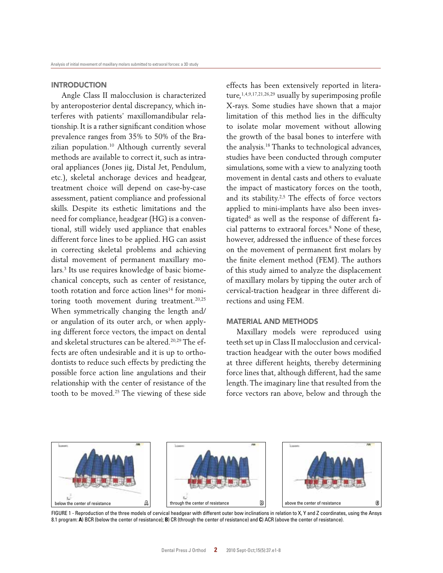## **INTRODUCTION**

Angle Class II malocclusion is characterized by anteroposterior dental discrepancy, which interferes with patients' maxillomandibular relationship. It is a rather significant condition whose prevalence ranges from 35% to 50% of the Brazilian population.<sup>10</sup> Although currently several methods are available to correct it, such as intraoral appliances (Jones jig, Distal Jet, Pendulum, etc.), skeletal anchorage devices and headgear, treatment choice will depend on case-by-case assessment, patient compliance and professional skills. Despite its esthetic limitations and the need for compliance, headgear (HG) is a conventional, still widely used appliance that enables different force lines to be applied. HG can assist in correcting skeletal problems and achieving distal movement of permanent maxillary molars.3 Its use requires knowledge of basic biomechanical concepts, such as center of resistance, tooth rotation and force action lines<sup>14</sup> for monitoring tooth movement during treatment.<sup>20,25</sup> When symmetrically changing the length and/ or angulation of its outer arch, or when applying different force vectors, the impact on dental and skeletal structures can be altered.20,29 The effects are often undesirable and it is up to orthodontists to reduce such effects by predicting the possible force action line angulations and their relationship with the center of resistance of the tooth to be moved.<sup>25</sup> The viewing of these side effects has been extensively reported in literature,  $1,4,9,17,21,26,29$  usually by superimposing profile X-rays. Some studies have shown that a major limitation of this method lies in the difficulty to isolate molar movement without allowing the growth of the basal bones to interfere with the analysis.18 Thanks to technological advances, studies have been conducted through computer simulations, some with a view to analyzing tooth movement in dental casts and others to evaluate the impact of masticatory forces on the tooth, and its stability.<sup>2,5</sup> The effects of force vectors applied to mini-implants have also been investigated $^6$  as well as the response of different facial patterns to extraoral forces.8 None of these, however, addressed the influence of these forces on the movement of permanent first molars by the finite element method (FEM). The authors of this study aimed to analyze the displacement of maxillary molars by tipping the outer arch of cervical-traction headgear in three different directions and using FEM.

#### MATERIAL AND METHODS

Maxillary models were reproduced using teeth set up in Class II malocclusion and cervicaltraction headgear with the outer bows modified at three different heights, thereby determining force lines that, although different, had the same length. The imaginary line that resulted from the force vectors ran above, below and through the



FIGURE 1 - Reproduction of the three models of cervical headgear with different outer bow inclinations in relation to X, Y and Z coordinates, using the Ansys 8.1 program: **A**) BCR (below the center of resistance); **B**) CR (through the center of resistance) and **C**) ACR (above the center of resistance).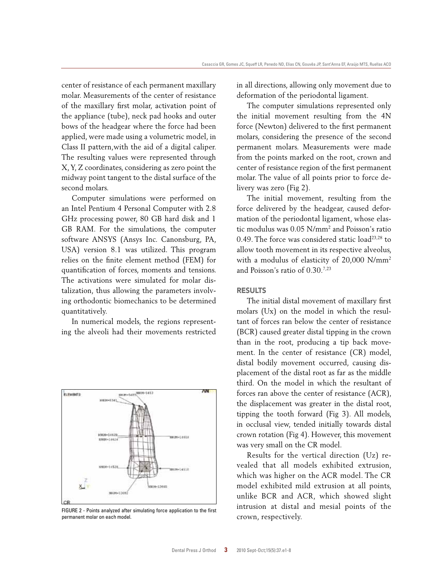center of resistance of each permanent maxillary molar. Measurements of the center of resistance of the maxillary first molar, activation point of the appliance (tube), neck pad hooks and outer bows of the headgear where the force had been applied, were made using a volumetric model, in Class II pattern,with the aid of a digital caliper. The resulting values were represented through X, Y, Z coordinates, considering as zero point the midway point tangent to the distal surface of the second molars.

Computer simulations were performed on an Intel Pentium 4 Personal Computer with 2.8 GHz processing power, 80 GB hard disk and 1 GB RAM. For the simulations, the computer software ANSYS (Ansys Inc. Canonsburg, PA, USA) version 8.1 was utilized. This program relies on the finite element method (FEM) for quantification of forces, moments and tensions. The activations were simulated for molar distalization, thus allowing the parameters involving orthodontic biomechanics to be determined quantitatively.

In numerical models, the regions representing the alveoli had their movements restricted



FIGURE 2 - Points analyzed after simulating force application to the first permanent molar on each model.

in all directions, allowing only movement due to deformation of the periodontal ligament.

The computer simulations represented only the initial movement resulting from the 4N force (Newton) delivered to the first permanent molars, considering the presence of the second permanent molars. Measurements were made from the points marked on the root, crown and center of resistance region of the first permanent molar. The value of all points prior to force delivery was zero (Fig 2).

The initial movement, resulting from the force delivered by the headgear, caused deformation of the periodontal ligament, whose elastic modulus was 0.05 N/mm2 and Poisson's ratio 0.49. The force was considered static load<sup>23,28</sup> to allow tooth movement in its respective alveolus, with a modulus of elasticity of 20,000 N/mm2 and Poisson's ratio of 0.30.7,23

## RESULTS

The initial distal movement of maxillary first molars (Ux) on the model in which the resultant of forces ran below the center of resistance (BCR) caused greater distal tipping in the crown than in the root, producing a tip back movement. In the center of resistance (CR) model, distal bodily movement occurred, causing displacement of the distal root as far as the middle third. On the model in which the resultant of forces ran above the center of resistance (ACR), the displacement was greater in the distal root, tipping the tooth forward (Fig 3). All models, in occlusal view, tended initially towards distal crown rotation (Fig 4). However, this movement was very small on the CR model.

Results for the vertical direction (Uz) revealed that all models exhibited extrusion, which was higher on the ACR model. The CR model exhibited mild extrusion at all points, unlike BCR and ACR, which showed slight intrusion at distal and mesial points of the crown, respectively.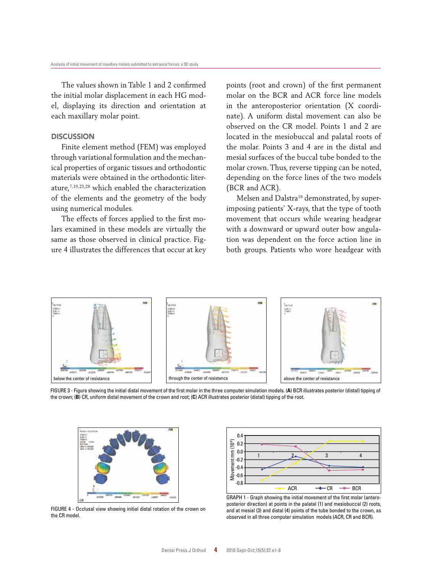The values shown in Table 1 and 2 confirmed the initial molar displacement in each HG model, displaying its direction and orientation at each maxillary molar point.

### **DISCUSSION**

Finite element method (FEM) was employed through variational formulation and the mechanical properties of organic tissues and orthodontic materials were obtained in the orthodontic literature,7,19,23,28 which enabled the characterization of the elements and the geometry of the body using numerical modules.

The effects of forces applied to the first molars examined in these models are virtually the same as those observed in clinical practice. Figure 4 illustrates the differences that occur at key points (root and crown) of the first permanent molar on the BCR and ACR force line models in the anteroposterior orientation (X coordinate). A uniform distal movement can also be observed on the CR model. Points 1 and 2 are located in the mesiobuccal and palatal roots of the molar. Points 3 and 4 are in the distal and mesial surfaces of the buccal tube bonded to the molar crown. Thus, reverse tipping can be noted, depending on the force lines of the two models (BCR and ACR).

Melsen and Dalstra<sup>18</sup> demonstrated, by superimposing patients' X-rays, that the type of tooth movement that occurs while wearing headgear with a downward or upward outer bow angulation was dependent on the force action line in both groups. Patients who wore headgear with



FIGURE 3 - Figure showing the initial distal movement of the first molar in the three computer simulation models. (**A**) BCR illustrates posterior (distal) tipping of the crown; (**B**) CR, uniform distal movement of the crown and root; (**C**) ACR illustrates posterior (distal) tipping of the root.



FIGURE 4 - Occlusal view showing initial distal rotation of the crown on the CR model.



GRAPH 1 - Graph showing the initial movement of the first molar (anteroposterior direction) at points in the palatal (1) and mesiobuccal (2) roots, and at mesial (3) and distal (4) points of the tube bonded to the crown, as observed in all three computer simulation models (ACR, CR and BCR).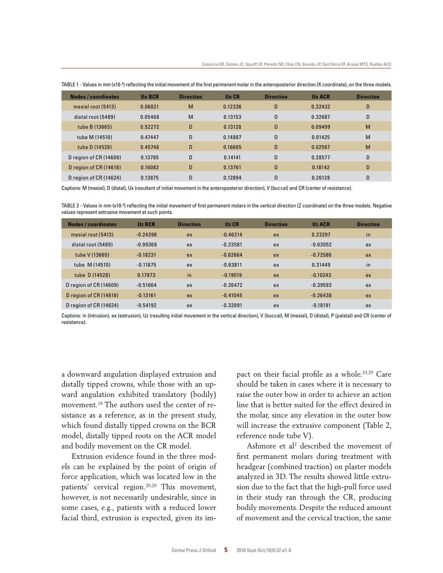| <b>Nodes/coordinates</b> | Ux BCR  | <b>Direction</b> | Ux CR   | <b>Direction</b> | Ux ACR  | <b>Direction</b> |
|--------------------------|---------|------------------|---------|------------------|---------|------------------|
| mesial root (5413)       | 0.06821 | M                | 0.12336 | D                | 0.32432 | D                |
| distal root (5489)       | 0.05468 | M                | 0.13153 | D                | 0.32687 | D                |
| tube B (13665)           | 0.52272 | D                | 0.13128 | D                | 0.09499 | M                |
| tube M (14510)           | 0.47447 | D                | 0.14887 | D                | 0.01425 | M                |
| tube D (14528)           | 0.45748 | D                | 0.16665 | D                | 0.02567 | M                |
| D region of CR (14609)   | 0.13785 | D                | 0.14141 | D                | 0.28577 | D                |
| D region of CR (14618)   | 0.16082 | D                | 0.13761 | D                | 0.18142 | D                |
| D region of CR (14624)   | 0.13875 | D                | 0.12894 | D                | 0.26128 | D                |

TABLE 1 - Values in mm (x10-6 ) reflecting the initial movement of the first permanent molar in the anteroposterior direction (X coordinate), on the three models.

Captions: M (mesial), D (distal), Ux (resultant of initial movement in the anteroposterior direction), V (buccal) and CR (center of resistance).

TABLE 2 - Values in mm (x10-6 ) reflecting the initial movement of first permanent molars in the vertical direction (Z coordinate) on the three models. Negative values represent extrusive movement at such points.

| <b>Nodes/coordinates</b> | Uz BCR     | <b>Direction</b> | Uz CR      | <b>Direction</b> | Uz ACR     | <b>Direction</b> |
|--------------------------|------------|------------------|------------|------------------|------------|------------------|
| mesial root (5413)       | $-0.24398$ | ex               | $-0.46214$ | ex               | 0.23297    | in               |
| distal root (5489)       | $-0.99368$ | ex               | $-0.23581$ | ex               | $-0.63052$ | ex               |
| tube V (13665)           | $-0.18231$ | ex               | $-0.62664$ | ex               | $-0.72586$ | ex               |
| tube M (14510)           | $-0.11875$ | ex               | $-0.63811$ | ex               | 0.31449    | in               |
| tube D (14528)           | 0.17873    | in               | $-0.19519$ | ex               | $-0.10243$ | ex               |
| D region of CR (14609)   | $-0.51664$ | ex               | $-0.26472$ | ex               | $-0.39593$ | ex               |
| D region of CR (14618)   | $-0.13161$ | ex               | $-0.41045$ | ex               | $-0.26438$ | ex               |
| D region of CR (14624)   | $-0.54192$ | ex               | $-0.32091$ | ex               | $-0.18191$ | ex               |

Captions: in (intrusion), ex (extrusion), Uz (resulting initial movement in the vertical direction), V (buccal), M (mesial), D (distal), P (palatal) and CR (center of resistance).

a downward angulation displayed extrusion and distally tipped crowns, while those with an upward angulation exhibited translatory (bodily) movement.18 The authors used the center of resistance as a reference, as in the present study, which found distally tipped crowns on the BCR model, distally tipped roots on the ACR model and bodily movement on the CR model.

Extrusion evidence found in the three models can be explained by the point of origin of force application, which was located low in the patients' cervical region.<sup>20,29</sup> This movement, however, is not necessarily undesirable, since in some cases, e.g., patients with a reduced lower facial third, extrusion is expected, given its impact on their facial profile as a whole.<sup>24,29</sup> Care should be taken in cases where it is necessary to raise the outer bow in order to achieve an action line that is better suited for the effect desired in the molar, since any elevation in the outer bow will increase the extrusive component (Table 2, reference node tube V).

Ashmore et al<sup>2</sup> described the movement of first permanent molars during treatment with headgear (combined traction) on plaster models analyzed in 3D. The results showed little extrusion due to the fact that the high-pull force used in their study ran through the CR, producing bodily movements. Despite the reduced amount of movement and the cervical traction, the same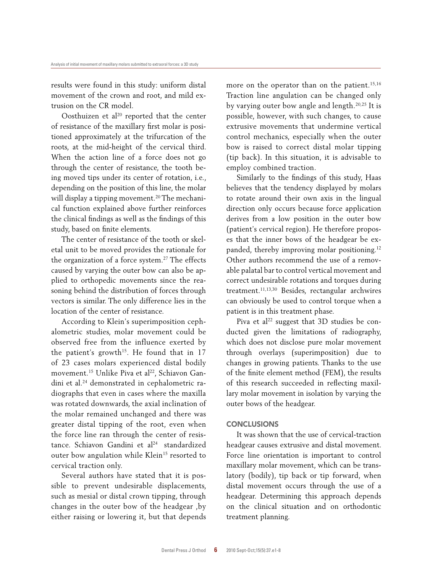results were found in this study: uniform distal movement of the crown and root, and mild extrusion on the CR model.

Oosthuizen et al<sup>20</sup> reported that the center of resistance of the maxillary first molar is positioned approximately at the trifurcation of the roots, at the mid-height of the cervical third. When the action line of a force does not go through the center of resistance, the tooth being moved tips under its center of rotation, i.e., depending on the position of this line, the molar will display a tipping movement.<sup>20</sup> The mechanical function explained above further reinforces the clinical findings as well as the findings of this study, based on finite elements.

The center of resistance of the tooth or skeletal unit to be moved provides the rationale for the organization of a force system.<sup>27</sup> The effects caused by varying the outer bow can also be applied to orthopedic movements since the reasoning behind the distribution of forces through vectors is similar. The only difference lies in the location of the center of resistance.

According to Klein's superimposition cephalometric studies, molar movement could be observed free from the influence exerted by the patient's growth<sup>15</sup>. He found that in  $17$ of 23 cases molars experienced distal bodily movement.<sup>15</sup> Unlike Piva et al<sup>22</sup>, Schiavon Gandini et al.24 demonstrated in cephalometric radiographs that even in cases where the maxilla was rotated downwards, the axial inclination of the molar remained unchanged and there was greater distal tipping of the root, even when the force line ran through the center of resistance. Schiavon Gandini et al<sup>24</sup> standardized outer bow angulation while Klein<sup>15</sup> resorted to cervical traction only.

Several authors have stated that it is possible to prevent undesirable displacements, such as mesial or distal crown tipping, through changes in the outer bow of the headgear ,by either raising or lowering it, but that depends more on the operator than on the patient.<sup>15,16</sup> Traction line angulation can be changed only by varying outer bow angle and length.20,25 It is possible, however, with such changes, to cause extrusive movements that undermine vertical control mechanics, especially when the outer bow is raised to correct distal molar tipping (tip back). In this situation, it is advisable to employ combined traction.

Similarly to the findings of this study, Haas believes that the tendency displayed by molars to rotate around their own axis in the lingual direction only occurs because force application derives from a low position in the outer bow (patient's cervical region). He therefore proposes that the inner bows of the headgear be expanded, thereby improving molar positioning.<sup>12</sup> Other authors recommend the use of a removable palatal bar to control vertical movement and correct undesirable rotations and torques during treatment.11,13,30 Besides, rectangular archwires can obviously be used to control torque when a patient is in this treatment phase.

Piva et al<sup>22</sup> suggest that  $3D$  studies be conducted given the limitations of radiography, which does not disclose pure molar movement through overlays (superimposition) due to changes in growing patients. Thanks to the use of the finite element method (FEM), the results of this research succeeded in reflecting maxillary molar movement in isolation by varying the outer bows of the headgear.

#### **CONCLUSIONS**

It was shown that the use of cervical-traction headgear causes extrusive and distal movement. Force line orientation is important to control maxillary molar movement, which can be translatory (bodily), tip back or tip forward, when distal movement occurs through the use of a headgear. Determining this approach depends on the clinical situation and on orthodontic treatment planning.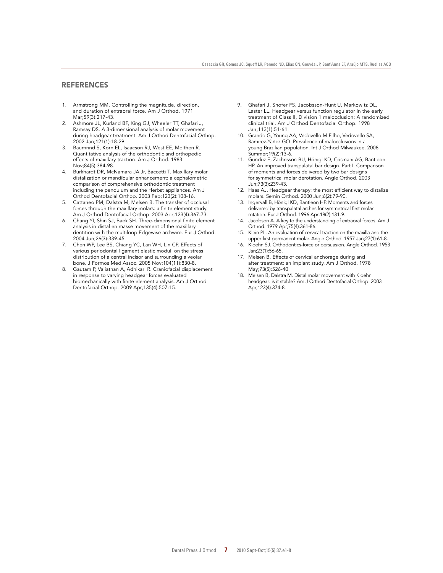#### **REFERENCES**

- 1. Armstrong MM. Controlling the magnitude, direction, and duration of extraoral force. Am J Orthod. 1971 Mar;59(3):217-43.
- 2. Ashmore JL, Kurland BF, King GJ, Wheeler TT, Ghafari J, Ramsay DS. A 3-dimensional analysis of molar movement during headgear treatment. Am J Orthod Dentofacial Orthop. 2002 Jan;121(1):18-29.
- 3. Baumrind S, Korn EL, Isaacson RJ, West EE, Molthen R. Quantitative analysis of the orthodontic and orthopedic effects of maxillary traction. Am J Orthod. 1983 Nov;84(5):384-98.
- Burkhardt DR, McNamara JA Jr, Baccetti T. Maxillary molar distalization or mandibular enhancement: a cephalometric comparison of comprehensive orthodontic treatment including the pendulum and the Herbst appliances. Am J Orthod Dentofacial Orthop. 2003 Feb;123(2):108-16.
- 5. Cattaneo PM, Dalstra M, Melsen B. The transfer of occlusal forces through the maxillary molars: a finite element study. Am J Orthod Dentofacial Orthop. 2003 Apr;123(4):367-73.
- 6. Chang YI, Shin SJ, Baek SH. Three-dimensional finite element analysis in distal en masse movement of the maxillary dentition with the multiloop Edgewise archwire. Eur J Orthod. 2004 Jun;26(3):339-45.
- 7. Chen WP, Lee BS, Chiang YC, Lan WH, Lin CP. Effects of various periodontal ligament elastic moduli on the stress distribution of a central incisor and surrounding alveolar bone. J Formos Med Assoc. 2005 Nov;104(11):830-8.
- 8. Gautam P, Valiathan A, Adhikari R. Craniofacial displacement in response to varying headgear forces evaluated biomechanically with finite element analysis. Am J Orthod Dentofacial Orthop. 2009 Apr;135(4):507-15.
- 9. Ghafari J, Shofer FS, Jacobsson-Hunt U, Markowitz DL, Laster LL. Headgear versus function regulator in the early treatment of Class II, Division 1 malocclusion: A randomized clinical trial. Am J Orthod Dentofacial Orthop. 1998 Jan;113(1):51-61.
- 10. Grando G, Young AA, Vedovello M Filho, Vedovello SA, Ramirez-Yañez GO. Prevalence of malocclusions in a young Brazilian population. Int J Orthod Milwaukee. 2008 Summer;19(2):13-6.
- 11. Gündüz E, Zachrisson BU, Hönigl KD, Crismani AG, Bantleon HP. An improved transpalatal bar design. Part I. Comparison of moments and forces delivered by two bar designs for symmetrical molar derotation. Angle Orthod. 2003 Jun;73(3):239-43.
- 12. Haas AJ. Headgear therapy: the most efficient way to distalize molars. Semin Orthod. 2000 Jun;6(2):79-90.
- 13. Ingervall B, Hönigl KD, Bantleon HP. Moments and forces delivered by transpalatal arches for symmetrical first molar rotation. Eur J Orthod. 1996 Apr;18(2):131-9.
- 14. Jacobson A. A key to the understanding of extraoral forces. Am J Orthod. 1979 Apr;75(4):361-86.
- 15. Klein PL. An evaluation of cervical traction on the maxilla and the upper first permanent molar. Angle Orthod. 1957 Jan;27(1):61-8.
- 16. Kloehn SJ. Orthodontics-force or persuasion. Angle Orthod. 1953 Jan;23(1):56-65.
- 17. Melsen B. Effects of cervical anchorage during and after treatment: an implant study. Am J Orthod. 1978 May;73(5):526-40.
- 18. Melsen B, Dalstra M. Distal molar movement with Kloehn headgear: is it stable? Am J Orthod Dentofacial Orthop. 2003 Apr;123(4):374-8.